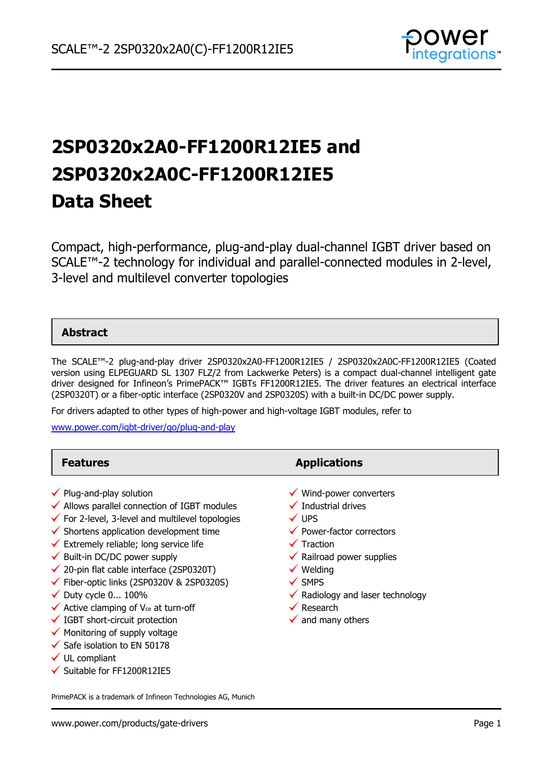

# **2SP0320x2A0-FF1200R12IE5 and 2SP0320x2A0C-FF1200R12IE5 Data Sheet**

Compact, high-performance, plug-and-play dual-channel IGBT driver based on SCALE™-2 technology for individual and parallel-connected modules in 2-level, 3-level and multilevel converter topologies

### **Abstract**

The SCALE™-2 plug-and-play driver 2SP0320x2A0-FF1200R12IE5 / 2SP0320x2A0C-FF1200R12IE5 (Coated version using ELPEGUARD SL 1307 FLZ/2 from Lackwerke Peters) is a compact dual-channel intelligent gate driver designed for Infineon's PrimePACK™ IGBTs FF1200R12IE5. The driver features an electrical interface (2SP0320T) or a fiber-optic interface (2SP0320V and 2SP0320S) with a built-in DC/DC power supply.

For drivers adapted to other types of high-power and high-voltage IGBT modules, refer to

[www.power.com/igbt-driver/go/plug-and-play](http://www.power.com/igbt-driver/go/plug-and-play)

| <b>Features</b>                                                                                                                                                                                                                                                                                                                                                                                                                                                                                                                                                                                                                                                                                                                                    | <b>Applications</b>                                                                                                                                                                                                                                                                                                                       |
|----------------------------------------------------------------------------------------------------------------------------------------------------------------------------------------------------------------------------------------------------------------------------------------------------------------------------------------------------------------------------------------------------------------------------------------------------------------------------------------------------------------------------------------------------------------------------------------------------------------------------------------------------------------------------------------------------------------------------------------------------|-------------------------------------------------------------------------------------------------------------------------------------------------------------------------------------------------------------------------------------------------------------------------------------------------------------------------------------------|
| $\checkmark$ Plug-and-play solution<br>$\checkmark$ Allows parallel connection of IGBT modules<br>$\checkmark$ For 2-level, 3-level and multilevel topologies<br>$\checkmark$ Shortens application development time<br>$\checkmark$ Extremely reliable; long service life<br>$\checkmark$ Built-in DC/DC power supply<br>$\checkmark$ 20-pin flat cable interface (2SP0320T)<br>$\checkmark$ Fiber-optic links (2SP0320V & 2SP0320S)<br>$\checkmark$ Duty cycle 0 100%<br>$\checkmark$ Active clamping of V <sub>ce</sub> at turn-off<br>$\checkmark$ IGBT short-circuit protection<br>$\checkmark$ Monitoring of supply voltage<br>$\checkmark$ Safe isolation to EN 50178<br>$\checkmark$ UL compliant<br>$\checkmark$ Suitable for FF1200R12IE5 | Wind-power converters<br>$\checkmark$ Industrial drives<br>$\checkmark$ UPS<br>$\checkmark$ Power-factor correctors<br>$\checkmark$ Traction<br>$\checkmark$ Railroad power supplies<br>$\checkmark$ Welding<br>$\checkmark$ SMPS<br>$\checkmark$ Radiology and laser technology<br>$\checkmark$ Research<br>$\checkmark$ and many others |

PrimePACK is a trademark of Infineon Technologies AG, Munich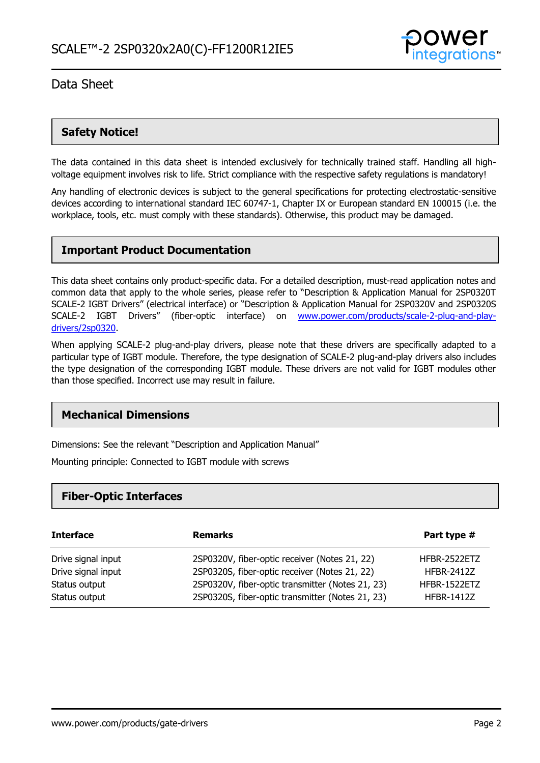

### **Safety Notice!**

The data contained in this data sheet is intended exclusively for technically trained staff. Handling all highvoltage equipment involves risk to life. Strict compliance with the respective safety regulations is mandatory!

Any handling of electronic devices is subject to the general specifications for protecting electrostatic-sensitive devices according to international standard IEC 60747-1, Chapter IX or European standard EN 100015 (i.e. the workplace, tools, etc. must comply with these standards). Otherwise, this product may be damaged.

### **Important Product Documentation**

This data sheet contains only product-specific data. For a detailed description, must-read application notes and common data that apply to the whole series, please refer to "Description & Application Manual for 2SP0320T SCALE-2 IGBT Drivers" (electrical interface) or "Description & Application Manual for 2SP0320V and 2SP0320S SCALE-2 IGBT Drivers" (fiber-optic interface) on www.power.com/products/scale-2-plug-and-playdrivers/2sp0320.

When applying SCALE-2 plug-and-play drivers, please note that these drivers are specifically adapted to a particular type of IGBT module. Therefore, the type designation of SCALE-2 plug-and-play drivers also includes the type designation of the corresponding IGBT module. These drivers are not valid for IGBT modules other than those specified. Incorrect use may result in failure.

### **Mechanical Dimensions**

Dimensions: See the relevant "Description and Application Manual"

Mounting principle: Connected to IGBT module with screws

### **Fiber-Optic Interfaces**

| <b>Interface</b>   | <b>Remarks</b>                                   | Part type #         |
|--------------------|--------------------------------------------------|---------------------|
| Drive signal input | 2SP0320V, fiber-optic receiver (Notes 21, 22)    | HFBR-2522ETZ        |
| Drive signal input | 2SP0320S, fiber-optic receiver (Notes 21, 22)    | <b>HFBR-2412Z</b>   |
| Status output      | 2SP0320V, fiber-optic transmitter (Notes 21, 23) | <b>HFBR-1522ETZ</b> |
| Status output      | 2SP0320S, fiber-optic transmitter (Notes 21, 23) | <b>HFBR-1412Z</b>   |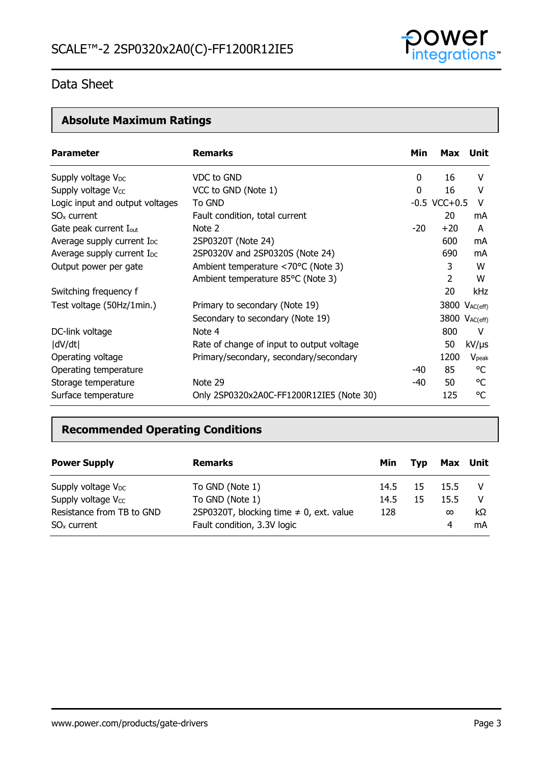

# **Absolute Maximum Ratings**

| <b>Parameter</b>                       | <b>Remarks</b>                            | Min   | Max Unit                  |                |
|----------------------------------------|-------------------------------------------|-------|---------------------------|----------------|
| Supply voltage V <sub>DC</sub>         | VDC to GND                                | 0     | 16                        | v              |
| Supply voltage V <sub>cc</sub>         | VCC to GND (Note 1)                       | 0     | 16                        | v              |
| Logic input and output voltages        | To GND                                    |       | $-0.5$ VCC $+0.5$         | V              |
| $SOx$ current                          | Fault condition, total current            |       | 20                        | mA             |
| Gate peak current I <sub>out</sub>     | Note 2                                    | $-20$ | $+20$                     | A              |
| Average supply current I <sub>DC</sub> | 2SP0320T (Note 24)                        |       | 600                       | mA             |
| Average supply current I <sub>DC</sub> | 2SP0320V and 2SP0320S (Note 24)           |       | 690                       | mA             |
| Output power per gate                  | Ambient temperature <70°C (Note 3)        |       | 3                         | W              |
|                                        | Ambient temperature 85°C (Note 3)         |       | 2                         | W              |
| Switching frequency f                  |                                           |       | 20                        | kHz            |
| Test voltage (50Hz/1min.)              | Primary to secondary (Note 19)            |       | 3800 V <sub>AC(eff)</sub> |                |
|                                        | Secondary to secondary (Note 19)          |       | 3800 VAC(eff)             |                |
| DC-link voltage                        | Note 4                                    |       | 800                       | V              |
| dV/dt                                  | Rate of change of input to output voltage |       | 50                        | $kV/\mu s$     |
| Operating voltage                      | Primary/secondary, secondary/secondary    |       | 1200                      | $V_{\rm peak}$ |
| Operating temperature                  |                                           | -40   | 85                        | °C             |
| Storage temperature                    | Note 29                                   | -40   | 50                        | °C             |
| Surface temperature                    | Only 2SP0320x2A0C-FF1200R12IE5 (Note 30)  |       | 125                       | °C             |

### **Recommended Operating Conditions**

| <b>Power Supply</b>                        | <b>Remarks</b>                                                              | Min  | Tvp |               | Max Unit |
|--------------------------------------------|-----------------------------------------------------------------------------|------|-----|---------------|----------|
| Supply voltage $V_{DC}$                    | To GND (Note 1)                                                             | 14.5 | -15 | 15.5          |          |
| Supply voltage $V_{CC}$                    | To GND (Note 1)                                                             | 14.5 | 15  | 15.5          |          |
| Resistance from TB to GND<br>$SOx$ current | 2SP0320T, blocking time $\neq$ 0, ext. value<br>Fault condition, 3.3V logic | 128  |     | $\infty$<br>4 | kΩ<br>mA |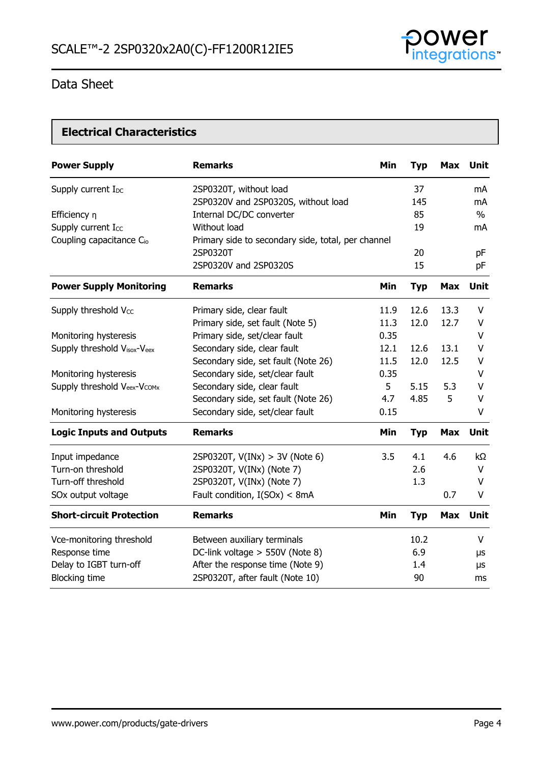

### **Electrical Characteristics**

| <b>Power Supply</b>                  | <b>Remarks</b>                                     | Min  | <b>Typ</b> | <b>Max</b> | <b>Unit</b> |
|--------------------------------------|----------------------------------------------------|------|------------|------------|-------------|
| Supply current I <sub>DC</sub>       | 2SP0320T, without load                             |      | 37         |            | mA          |
|                                      | 2SP0320V and 2SP0320S, without load                |      | 145        |            | mA          |
| Efficiency n                         | Internal DC/DC converter                           |      | 85         |            | $\%$        |
| Supply current Icc                   | Without load                                       |      | 19         |            | mA          |
| Coupling capacitance C <sub>io</sub> | Primary side to secondary side, total, per channel |      |            |            |             |
|                                      | 2SP0320T                                           |      | 20         |            | pF          |
|                                      | 2SP0320V and 2SP0320S                              |      | 15         |            | pF          |
| <b>Power Supply Monitoring</b>       | <b>Remarks</b>                                     | Min  | <b>Typ</b> | <b>Max</b> | <b>Unit</b> |
| Supply threshold Vcc                 | Primary side, clear fault                          | 11.9 | 12.6       | 13.3       | V           |
|                                      | Primary side, set fault (Note 5)                   | 11.3 | 12.0       | 12.7       | V           |
| Monitoring hysteresis                | Primary side, set/clear fault                      | 0.35 |            |            | V           |
| Supply threshold Visox-Veex          | Secondary side, clear fault                        | 12.1 | 12.6       | 13.1       | V           |
|                                      | Secondary side, set fault (Note 26)                | 11.5 | 12.0       | 12.5       | V           |
| Monitoring hysteresis                | Secondary side, set/clear fault                    | 0.35 |            |            | V           |
| Supply threshold Veex-Vcomx          | Secondary side, clear fault                        | 5    | 5.15       | 5.3        | V           |
|                                      | Secondary side, set fault (Note 26)                | 4.7  | 4.85       | 5          | V           |
| Monitoring hysteresis                | Secondary side, set/clear fault                    | 0.15 |            |            | V           |
| <b>Logic Inputs and Outputs</b>      | <b>Remarks</b>                                     | Min  | <b>Typ</b> | <b>Max</b> | <b>Unit</b> |
| Input impedance                      | 2SP0320T, $V(INx) > 3V$ (Note 6)                   | 3.5  | 4.1        | 4.6        | kΩ          |
| Turn-on threshold                    | 2SP0320T, V(INx) (Note 7)                          |      | 2.6        |            | V           |
| Turn-off threshold                   | 2SP0320T, V(INx) (Note 7)                          |      | 1.3        |            | V           |
| SOx output voltage                   | Fault condition, I(SOx) < 8mA                      |      |            | 0.7        | V           |
| <b>Short-circuit Protection</b>      | <b>Remarks</b>                                     | Min  | <b>Typ</b> | <b>Max</b> | <b>Unit</b> |
| Vce-monitoring threshold             | Between auxiliary terminals                        |      | 10.2       |            | V           |
| Response time                        | DC-link voltage > 550V (Note 8)                    |      | 6.9        |            | μs          |
| Delay to IGBT turn-off               | After the response time (Note 9)                   |      | 1.4        |            | μs          |
| <b>Blocking time</b>                 | 2SP0320T, after fault (Note 10)                    |      | 90         |            | ms          |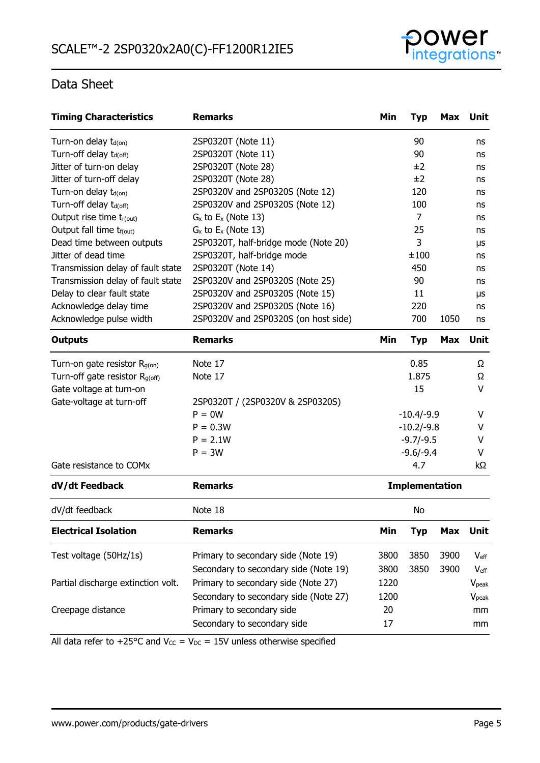

| <b>Timing Characteristics</b>              | <b>Remarks</b>                        | Min                   | <b>Typ</b>  | Max        | <b>Unit</b>       |
|--------------------------------------------|---------------------------------------|-----------------------|-------------|------------|-------------------|
| Turn-on delay $t_{d(0n)}$                  | 2SP0320T (Note 11)                    |                       | 90          |            | ns                |
| Turn-off delay t <sub>d(off)</sub>         | 2SP0320T (Note 11)                    |                       | 90          |            | ns                |
| Jitter of turn-on delay                    | 2SP0320T (Note 28)                    |                       | ±2          |            | ns                |
| Jitter of turn-off delay                   | 2SP0320T (Note 28)                    |                       | ±2          |            | ns                |
| Turn-on delay t <sub>d(on)</sub>           | 2SP0320V and 2SP0320S (Note 12)       |                       | 120         |            | ns                |
| Turn-off delay t <sub>d(off)</sub>         | 2SP0320V and 2SP0320S (Note 12)       |                       | 100         |            | ns                |
| Output rise time tr(out)                   | $G_x$ to $E_x$ (Note 13)              |                       | 7           |            | ns                |
| Output fall time t <sub>f(out)</sub>       | $G_x$ to $E_x$ (Note 13)              |                       | 25          |            | ns                |
| Dead time between outputs                  | 2SP0320T, half-bridge mode (Note 20)  |                       | 3           |            | μs                |
| Jitter of dead time                        | 2SP0320T, half-bridge mode            |                       | ±100        |            | ns                |
| Transmission delay of fault state          | 2SP0320T (Note 14)                    |                       | 450         |            | ns                |
| Transmission delay of fault state          | 2SP0320V and 2SP0320S (Note 25)       |                       | 90          |            | ns                |
| Delay to clear fault state                 | 2SP0320V and 2SP0320S (Note 15)       |                       | 11          |            | μs                |
| Acknowledge delay time                     | 2SP0320V and 2SP0320S (Note 16)       |                       | 220         |            | ns                |
| Acknowledge pulse width                    | 2SP0320V and 2SP0320S (on host side)  |                       | 700         | 1050       | ns                |
| <b>Outputs</b>                             | <b>Remarks</b>                        | Min                   | <b>Typ</b>  | <b>Max</b> | Unit              |
| Turn-on gate resistor $R_{g(0n)}$          | Note 17                               |                       | 0.85        |            | Ω                 |
| Turn-off gate resistor R <sub>g(off)</sub> | Note 17                               |                       | 1.875       |            | Ω                 |
| Gate voltage at turn-on                    |                                       |                       | 15          |            | V                 |
| Gate-voltage at turn-off                   | 2SP0320T / (2SP0320V & 2SP0320S)      |                       |             |            |                   |
|                                            | $P = 0W$                              | $-10.4/-9.9$          |             |            | v                 |
|                                            | $P = 0.3W$                            | $-10.2/-9.8$          |             |            | v                 |
|                                            | $P = 2.1W$                            |                       | $-9.7/-9.5$ |            | V                 |
|                                            | $P = 3W$                              |                       | $-9.6/-9.4$ |            | v                 |
| Gate resistance to COMx                    |                                       |                       | 4.7         |            | kΩ                |
| dV/dt Feedback                             | <b>Remarks</b>                        | <b>Implementation</b> |             |            |                   |
| dV/dt feedback                             | Note 18                               | No                    |             |            |                   |
| <b>Electrical Isolation</b>                | <b>Remarks</b>                        | Min                   | <b>Typ</b>  | <b>Max</b> | Unit              |
| Test voltage (50Hz/1s)                     | Primary to secondary side (Note 19)   | 3800                  | 3850        | 3900       | $V_{\text{eff}}$  |
|                                            | Secondary to secondary side (Note 19) | 3800                  | 3850        | 3900       | $V_{\text{eff}}$  |
| Partial discharge extinction volt.         | Primary to secondary side (Note 27)   | 1220                  |             |            | V <sub>peak</sub> |
|                                            | Secondary to secondary side (Note 27) | 1200                  |             |            | V <sub>peak</sub> |
| Creepage distance                          | Primary to secondary side             | 20                    |             |            | mm                |
|                                            |                                       | 17                    |             |            |                   |
|                                            | Secondary to secondary side           |                       |             |            | mm                |

All data refer to +25°C and  $V_{CC} = V_{DC} = 15V$  unless otherwise specified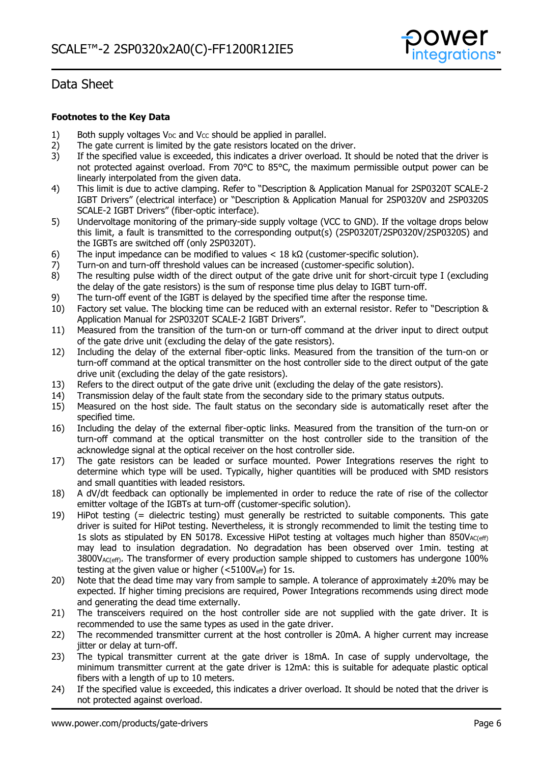

#### **Footnotes to the Key Data**

- 1) Both supply voltages  $V_{DC}$  and  $V_{CC}$  should be applied in parallel.
- 2) The gate current is limited by the gate resistors located on the driver.
- 3) If the specified value is exceeded, this indicates a driver overload. It should be noted that the driver is not protected against overload. From 70°C to 85°C, the maximum permissible output power can be linearly interpolated from the given data.
- 4) This limit is due to active clamping. Refer to "Description & Application Manual for 2SP0320T SCALE-2 IGBT Drivers" (electrical interface) or "Description & Application Manual for 2SP0320V and 2SP0320S SCALE-2 IGBT Drivers" (fiber-optic interface).
- 5) Undervoltage monitoring of the primary-side supply voltage (VCC to GND). If the voltage drops below this limit, a fault is transmitted to the corresponding output(s) (2SP0320T/2SP0320V/2SP0320S) and the IGBTs are switched off (only 2SP0320T).
- 6) The input impedance can be modified to values  $< 18 \text{ k}\Omega$  (customer-specific solution).
- 7) Turn-on and turn-off threshold values can be increased (customer-specific solution).
- 8) The resulting pulse width of the direct output of the gate drive unit for short-circuit type I (excluding the delay of the gate resistors) is the sum of response time plus delay to IGBT turn-off.
- 9) The turn-off event of the IGBT is delayed by the specified time after the response time.
- 10) Factory set value. The blocking time can be reduced with an external resistor. Refer to "Description & Application Manual for 2SP0320T SCALE-2 IGBT Drivers".
- 11) Measured from the transition of the turn-on or turn-off command at the driver input to direct output of the gate drive unit (excluding the delay of the gate resistors).
- 12) Including the delay of the external fiber-optic links. Measured from the transition of the turn-on or turn-off command at the optical transmitter on the host controller side to the direct output of the gate drive unit (excluding the delay of the gate resistors).
- 13) Refers to the direct output of the gate drive unit (excluding the delay of the gate resistors).
- 14) Transmission delay of the fault state from the secondary side to the primary status outputs.
- 15) Measured on the host side. The fault status on the secondary side is automatically reset after the specified time.
- 16) Including the delay of the external fiber-optic links. Measured from the transition of the turn-on or turn-off command at the optical transmitter on the host controller side to the transition of the acknowledge signal at the optical receiver on the host controller side.
- 17) The gate resistors can be leaded or surface mounted. Power Integrations reserves the right to determine which type will be used. Typically, higher quantities will be produced with SMD resistors and small quantities with leaded resistors.
- 18) A dV/dt feedback can optionally be implemented in order to reduce the rate of rise of the collector emitter voltage of the IGBTs at turn-off (customer-specific solution).
- 19) HiPot testing (= dielectric testing) must generally be restricted to suitable components. This gate driver is suited for HiPot testing. Nevertheless, it is strongly recommended to limit the testing time to 1s slots as stipulated by EN 50178. Excessive HiPot testing at voltages much higher than 850VAC(eff) may lead to insulation degradation. No degradation has been observed over 1min. testing at  $3800V_{AC(eff)}$ . The transformer of every production sample shipped to customers has undergone 100% testing at the given value or higher ( $<$ 5100V<sub>eff</sub>) for 1s.
- 20) Note that the dead time may vary from sample to sample. A tolerance of approximately  $\pm$ 20% may be expected. If higher timing precisions are required, Power Integrations recommends using direct mode and generating the dead time externally.
- 21) The transceivers required on the host controller side are not supplied with the gate driver. It is recommended to use the same types as used in the gate driver.
- 22) The recommended transmitter current at the host controller is 20mA. A higher current may increase jitter or delay at turn-off.
- 23) The typical transmitter current at the gate driver is 18mA. In case of supply undervoltage, the minimum transmitter current at the gate driver is 12mA: this is suitable for adequate plastic optical fibers with a length of up to 10 meters.
- 24) If the specified value is exceeded, this indicates a driver overload. It should be noted that the driver is not protected against overload.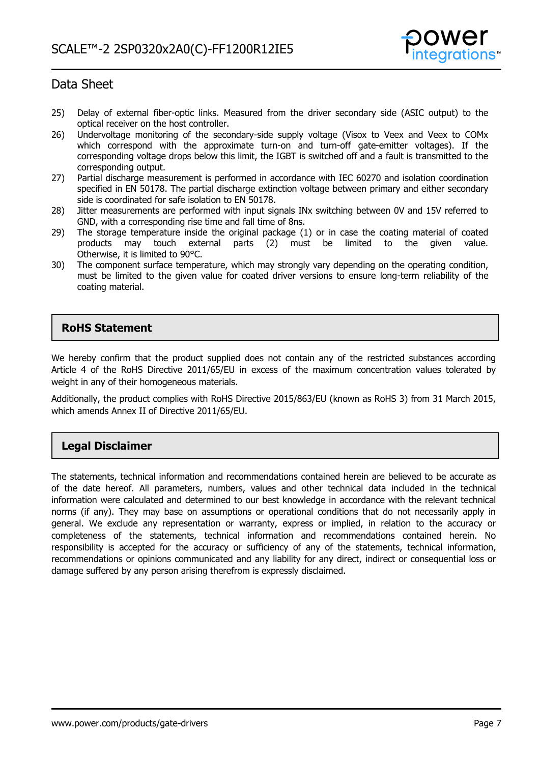

- 25) Delay of external fiber-optic links. Measured from the driver secondary side (ASIC output) to the optical receiver on the host controller.
- 26) Undervoltage monitoring of the secondary-side supply voltage (Visox to Veex and Veex to COMx which correspond with the approximate turn-on and turn-off gate-emitter voltages). If the corresponding voltage drops below this limit, the IGBT is switched off and a fault is transmitted to the corresponding output.
- 27) Partial discharge measurement is performed in accordance with IEC 60270 and isolation coordination specified in EN 50178. The partial discharge extinction voltage between primary and either secondary side is coordinated for safe isolation to EN 50178.
- 28) Jitter measurements are performed with input signals INx switching between 0V and 15V referred to GND, with a corresponding rise time and fall time of 8ns.
- 29) The storage temperature inside the original package (1) or in case the coating material of coated products may touch external parts (2) must be limited to the given value. Otherwise, it is limited to 90°C.
- 30) The component surface temperature, which may strongly vary depending on the operating condition, must be limited to the given value for coated driver versions to ensure long-term reliability of the coating material.

### **RoHS Statement**

We hereby confirm that the product supplied does not contain any of the restricted substances according Article 4 of the RoHS Directive 2011/65/EU in excess of the maximum concentration values tolerated by weight in any of their homogeneous materials.

Additionally, the product complies with RoHS Directive 2015/863/EU (known as RoHS 3) from 31 March 2015, which amends Annex II of Directive 2011/65/EU.

### **Legal Disclaimer**

The statements, technical information and recommendations contained herein are believed to be accurate as of the date hereof. All parameters, numbers, values and other technical data included in the technical information were calculated and determined to our best knowledge in accordance with the relevant technical norms (if any). They may base on assumptions or operational conditions that do not necessarily apply in general. We exclude any representation or warranty, express or implied, in relation to the accuracy or completeness of the statements, technical information and recommendations contained herein. No responsibility is accepted for the accuracy or sufficiency of any of the statements, technical information, recommendations or opinions communicated and any liability for any direct, indirect or consequential loss or damage suffered by any person arising therefrom is expressly disclaimed.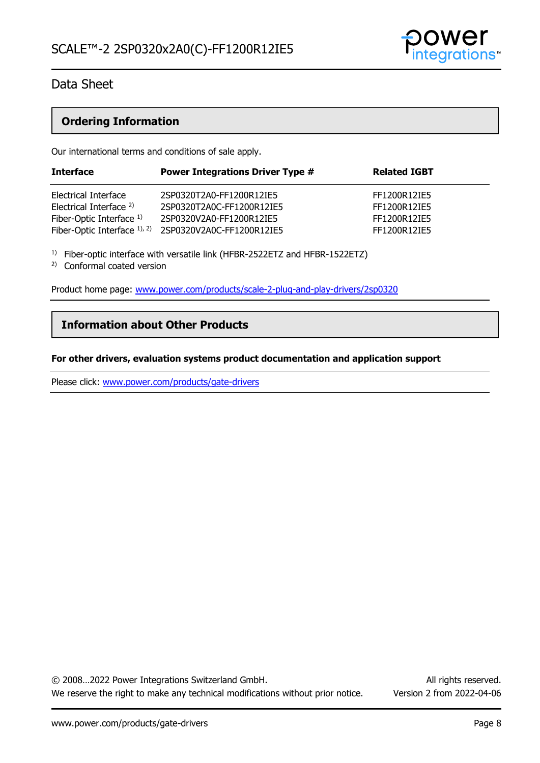

### **Ordering Information**

Our international terms and conditions of sale apply.

| <b>Interface</b>                   | <b>Power Integrations Driver Type #</b> | <b>Related IGBT</b> |
|------------------------------------|-----------------------------------------|---------------------|
| Electrical Interface               | 2SP0320T2A0-FF1200R12IE5                | FF1200R12IE5        |
| Electrical Interface <sup>2)</sup> | 2SP0320T2A0C-FF1200R12IE5               | FF1200R12IE5        |
| Fiber-Optic Interface 1)           | 2SP0320V2A0-FF1200R12IE5                | FF1200R12IE5        |
| Fiber-Optic Interface $1$ , $2$ )  | 2SP0320V2A0C-FF1200R12IE5               | FF1200R12IE5        |
|                                    |                                         |                     |

<sup>1)</sup> Fiber-optic interface with versatile link (HFBR-2522ETZ and HFBR-1522ETZ)

2) Conformal coated version

Product home page: [www.power.com/products/scale-2-plug-and-play-drivers/2sp0320](http://www.power.com/products/scale-2-plug-and-play-drivers/2sp0320)

### **Information about Other Products**

#### **For other drivers, evaluation systems product documentation and application support**

Please click: [www.power.com/products/gate-drivers](http://www.power.com/products/gate-drivers)

© 2008…2022 Power Integrations Switzerland GmbH. All rights reserved. We reserve the right to make any technical modifications without prior notice. Version 2 from 2022-04-06